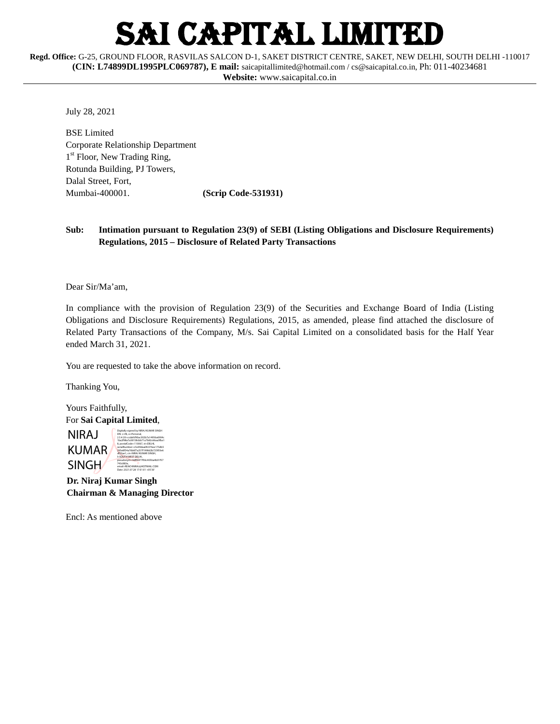# I CAPITAL LIMITED

**Regd. Office:** G-25, GROUND FLOOR, RASVILAS SALCON D-1, SAKET DISTRICT CENTRE, SAKET, NEW DELHI, SOUTH DELHI -110017 **(CIN: L74899DL1995PLC069787), E mail:** [saicapitallimited@hotmail.com](mailto:saicapitallimited@hotmail.com) [/ cs@saicapital.co.in,](mailto:cs@saicapital.co.in) Ph: 011-40234681 **Website:** www.saicapital.co.in

July 28, 2021

BSE Limited Corporate Relationship Department 1<sup>st</sup> Floor, New Trading Ring, Rotunda Building, PJ Towers, Dalal Street, Fort, Mumbai-400001. **(Scrip Code-531931)**

### **Sub: Intimation pursuant to Regulation 23(9) of SEBI (Listing Obligations and Disclosure Requirements) Regulations, 2015 – Disclosure of Related Party Transactions**

Dear Sir/Ma'am,

In compliance with the provision of Regulation 23(9) of the Securities and Exchange Board of India (Listing Obligations and Disclosure Requirements) Regulations, 2015, as amended, please find attached the disclosure of Related Party Transactions of the Company, M/s. Sai Capital Limited on a consolidated basis for the Half Year ended March 31, 2021.

You are requested to take the above information on record.

Thanking You,

Yours Faithfully, For **Sai Capital Limited**, NIRAJ KUMAR **SINGH** Digitally signed by NIRAJ KUMAR SINGH DN: c=IN, o=Personal, 2.5.4.20=ccdafcf90ac302b7a14956a6904c 1ba2f98a7a38158cbb71a7b82c66aa3fba1 8, postalCode=110067, st=DELHI, serialNumber=c5e99daa0fc076ee175db5 295e8f54a76b6f7a257f1998d2b725f05e6 df23ae1, cn=NIRAJ KUMAR SINGH, l=SOUTH WEST DELHI, pseudonym=9dff4477f06c405ba4b01f57 743c883e, email=REACHNIRAJ@HOTMAIL.COM Date: 2021.07.28 17:01:01 +05'30'

 **Dr. Niraj Kumar Singh Chairman & Managing Director**

Encl: As mentioned above